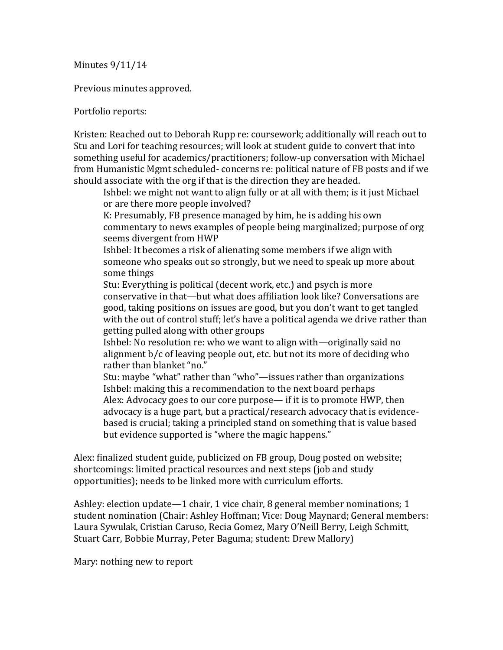Minutes 9/11/14

Previous minutes approved.

Portfolio reports:

Kristen: Reached out to Deborah Rupp re: coursework; additionally will reach out to Stu and Lori for teaching resources; will look at student guide to convert that into something useful for academics/practitioners; follow-up conversation with Michael from Humanistic Mgmt scheduled- concerns re: political nature of FB posts and if we should associate with the org if that is the direction they are headed.

Ishbel: we might not want to align fully or at all with them; is it just Michael or are there more people involved?

K: Presumably, FB presence managed by him, he is adding his own commentary to news examples of people being marginalized; purpose of org seems divergent from HWP

Ishbel: It becomes a risk of alienating some members if we align with someone who speaks out so strongly, but we need to speak up more about some things

Stu: Everything is political (decent work, etc.) and psych is more conservative in that—but what does affiliation look like? Conversations are good, taking positions on issues are good, but you don't want to get tangled with the out of control stuff; let's have a political agenda we drive rather than getting pulled along with other groups

Ishbel: No resolution re: who we want to align with—originally said no alignment b/c of leaving people out, etc. but not its more of deciding who rather than blanket "no."

Stu: maybe "what" rather than "who"—issues rather than organizations Ishbel: making this a recommendation to the next board perhaps Alex: Advocacy goes to our core purpose— if it is to promote HWP, then advocacy is a huge part, but a practical/research advocacy that is evidencebased is crucial; taking a principled stand on something that is value based but evidence supported is "where the magic happens."

Alex: finalized student guide, publicized on FB group, Doug posted on website; shortcomings: limited practical resources and next steps (job and study opportunities); needs to be linked more with curriculum efforts.

Ashley: election update—1 chair, 1 vice chair, 8 general member nominations; 1 student nomination (Chair: Ashley Hoffman; Vice: Doug Maynard; General members: Laura Sywulak, Cristian Caruso, Recia Gomez, Mary O'Neill Berry, Leigh Schmitt, Stuart Carr, Bobbie Murray, Peter Baguma; student: Drew Mallory)

Mary: nothing new to report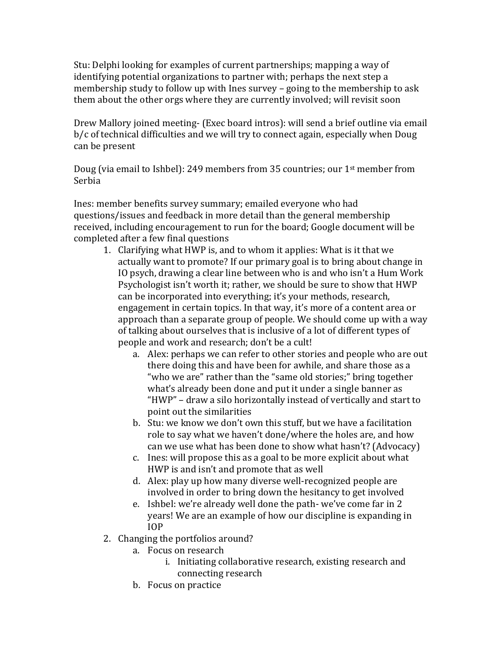Stu: Delphi looking for examples of current partnerships; mapping a way of identifying potential organizations to partner with; perhaps the next step a membership study to follow up with Ines survey – going to the membership to ask them about the other orgs where they are currently involved; will revisit soon

Drew Mallory joined meeting- (Exec board intros): will send a brief outline via email b/c of technical difficulties and we will try to connect again, especially when Doug can be present

Doug (via email to Ishbel): 249 members from 35 countries; our 1st member from Serbia

Ines: member benefits survey summary; emailed everyone who had questions/issues and feedback in more detail than the general membership received, including encouragement to run for the board; Google document will be completed after a few final questions

- 1. Clarifying what HWP is, and to whom it applies: What is it that we actually want to promote? If our primary goal is to bring about change in IO psych, drawing a clear line between who is and who isn't a Hum Work Psychologist isn't worth it; rather, we should be sure to show that HWP can be incorporated into everything; it's your methods, research, engagement in certain topics. In that way, it's more of a content area or approach than a separate group of people. We should come up with a way of talking about ourselves that is inclusive of a lot of different types of people and work and research; don't be a cult!
	- a. Alex: perhaps we can refer to other stories and people who are out there doing this and have been for awhile, and share those as a "who we are" rather than the "same old stories;" bring together what's already been done and put it under a single banner as "HWP" – draw a silo horizontally instead of vertically and start to point out the similarities
	- b. Stu: we know we don't own this stuff, but we have a facilitation role to say what we haven't done/where the holes are, and how can we use what has been done to show what hasn't? (Advocacy)
	- c. Ines: will propose this as a goal to be more explicit about what HWP is and isn't and promote that as well
	- d. Alex: play up how many diverse well-recognized people are involved in order to bring down the hesitancy to get involved
	- e. Ishbel: we're already well done the path- we've come far in 2 years! We are an example of how our discipline is expanding in IOP
- 2. Changing the portfolios around?
	- a. Focus on research
		- i. Initiating collaborative research, existing research and connecting research
	- b. Focus on practice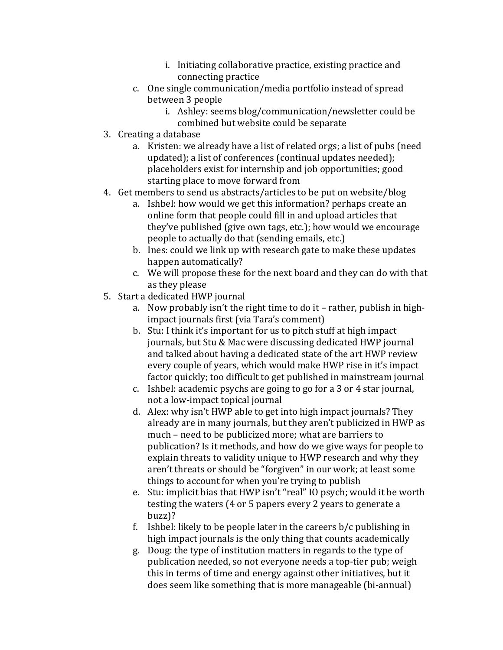- i. Initiating collaborative practice, existing practice and connecting practice
- c. One single communication/media portfolio instead of spread between 3 people
	- i. Ashley: seems blog/communication/newsletter could be combined but website could be separate
- 3. Creating a database
	- a. Kristen: we already have a list of related orgs; a list of pubs (need updated); a list of conferences (continual updates needed); placeholders exist for internship and job opportunities; good starting place to move forward from
- 4. Get members to send us abstracts/articles to be put on website/blog
	- a. Ishbel: how would we get this information? perhaps create an online form that people could fill in and upload articles that they've published (give own tags, etc.); how would we encourage people to actually do that (sending emails, etc.)
	- b. Ines: could we link up with research gate to make these updates happen automatically?
	- c. We will propose these for the next board and they can do with that as they please
- 5. Start a dedicated HWP journal
	- a. Now probably isn't the right time to do it rather, publish in highimpact journals first (via Tara's comment)
	- b. Stu: I think it's important for us to pitch stuff at high impact journals, but Stu & Mac were discussing dedicated HWP journal and talked about having a dedicated state of the art HWP review every couple of years, which would make HWP rise in it's impact factor quickly; too difficult to get published in mainstream journal
	- c. Ishbel: academic psychs are going to go for a 3 or 4 star journal, not a low-impact topical journal
	- d. Alex: why isn't HWP able to get into high impact journals? They already are in many journals, but they aren't publicized in HWP as much – need to be publicized more; what are barriers to publication? Is it methods, and how do we give ways for people to explain threats to validity unique to HWP research and why they aren't threats or should be "forgiven" in our work; at least some things to account for when you're trying to publish
	- e. Stu: implicit bias that HWP isn't "real" IO psych; would it be worth testing the waters (4 or 5 papers every 2 years to generate a buzz)?
	- f. Ishbel: likely to be people later in the careers  $b/c$  publishing in high impact journals is the only thing that counts academically
	- g. Doug: the type of institution matters in regards to the type of publication needed, so not everyone needs a top-tier pub; weigh this in terms of time and energy against other initiatives, but it does seem like something that is more manageable (bi-annual)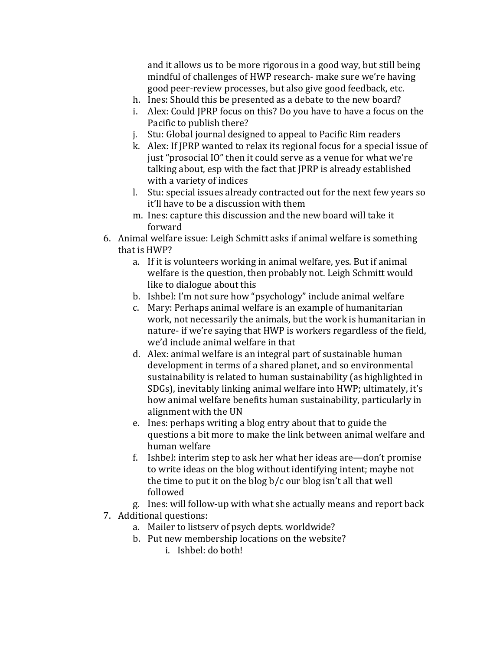and it allows us to be more rigorous in a good way, but still being mindful of challenges of HWP research- make sure we're having good peer-review processes, but also give good feedback, etc.

- h. Ines: Should this be presented as a debate to the new board?
- i. Alex: Could JPRP focus on this? Do you have to have a focus on the Pacific to publish there?
- j. Stu: Global journal designed to appeal to Pacific Rim readers
- k. Alex: If JPRP wanted to relax its regional focus for a special issue of just "prosocial IO" then it could serve as a venue for what we're talking about, esp with the fact that JPRP is already established with a variety of indices
- l. Stu: special issues already contracted out for the next few years so it'll have to be a discussion with them
- m. Ines: capture this discussion and the new board will take it forward
- 6. Animal welfare issue: Leigh Schmitt asks if animal welfare is something that is HWP?
	- a. If it is volunteers working in animal welfare, yes. But if animal welfare is the question, then probably not. Leigh Schmitt would like to dialogue about this
	- b. Ishbel: I'm not sure how "psychology" include animal welfare
	- c. Mary: Perhaps animal welfare is an example of humanitarian work, not necessarily the animals, but the work is humanitarian in nature- if we're saying that HWP is workers regardless of the field, we'd include animal welfare in that
	- d. Alex: animal welfare is an integral part of sustainable human development in terms of a shared planet, and so environmental sustainability is related to human sustainability (as highlighted in SDGs), inevitably linking animal welfare into HWP; ultimately, it's how animal welfare benefits human sustainability, particularly in alignment with the UN
	- e. Ines: perhaps writing a blog entry about that to guide the questions a bit more to make the link between animal welfare and human welfare
	- f. Ishbel: interim step to ask her what her ideas are—don't promise to write ideas on the blog without identifying intent; maybe not the time to put it on the blog b/c our blog isn't all that well followed
	- g. Ines: will follow-up with what she actually means and report back
- 7. Additional questions:
	- a. Mailer to listserv of psych depts. worldwide?
	- b. Put new membership locations on the website?
		- i. Ishbel: do both!